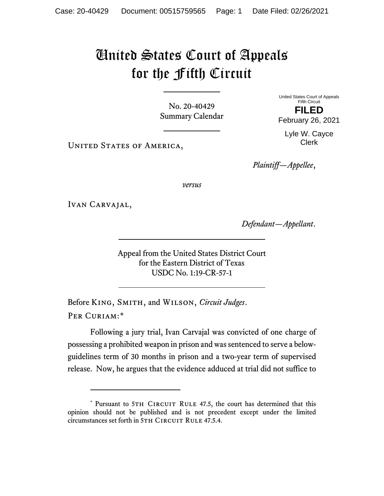## United States Court of Appeals for the Fifth Circuit

No. 20-40429 Summary Calendar United States Court of Appeals Fifth Circuit **FILED**

February 26, 2021

Lyle W. Cayce Clerk

UNITED STATES OF AMERICA,

*Plaintiff—Appellee*,

*versus*

Ivan Carvajal,

*Defendant—Appellant*.

Appeal from the United States District Court for the Eastern District of Texas USDC No. 1:19-CR-57-1

Before King, Smith, and Wilson, *Circuit Judges*. Per Curiam:[\\*](#page-0-0)

Following a jury trial, Ivan Carvajal was convicted of one charge of possessing a prohibited weapon in prison and was sentenced to serve a belowguidelines term of 30 months in prison and a two-year term of supervised release. Now, he argues that the evidence adduced at trial did not suffice to

<span id="page-0-0"></span><sup>\*</sup> Pursuant to 5TH CIRCUIT RULE 47.5, the court has determined that this opinion should not be published and is not precedent except under the limited circumstances set forth in 5TH CIRCUIT RULE 47.5.4.